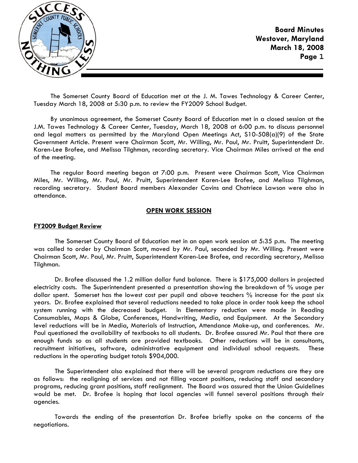

The Somerset County Board of Education met at the J. M. Tawes Technology & Career Center, Tuesday March 18, 2008 at 5:30 p.m. to review the FY2009 School Budget.

By unanimous agreement, the Somerset County Board of Education met in a closed session at the J.M. Tawes Technology & Career Center, Tuesday, March 18, 2008 at 6:00 p.m. to discuss personnel and legal matters as permitted by the Maryland Open Meetings Act, S10-508(a)(9) of the State Government Article. Present were Chairman Scott, Mr. Willing, Mr. Paul, Mr. Pruitt, Superintendent Dr. Karen-Lee Brofee, and Melissa Tilghman, recording secretary. Vice Chairman Miles arrived at the end of the meeting.

The regular Board meeting began at 7:00 p.m. Present were Chairman Scott, Vice Chairman Miles, Mr. Willing, Mr. Paul, Mr. Pruitt, Superintendent Karen-Lee Brofee, and Melissa Tilghman, recording secretary. Student Board members Alexander Cavins and Chatriece Lawson were also in attendance.

### **OPEN WORK SESSION**

#### **FY2009 Budget Review**

 The Somerset County Board of Education met in an open work session at 5:35 p.m**.** The meeting was called to order by Chairman Scott, moved by Mr. Paul, seconded by Mr. Willing. Present were Chairman Scott, Mr. Paul, Mr. Pruitt, Superintendent Karen-Lee Brofee, and recording secretary, Melissa Tilghman.

 Dr. Brofee discussed the 1.2 million dollar fund balance. There is \$175,000 dollars in projected electricity costs. The Superintendent presented a presentation showing the breakdown of % usage per dollar spent. Somerset has the lowest cost per pupil and above teachers % increase for the past six years. Dr. Brofee explained that several reductions needed to take place in order took keep the school system running with the decreased budget. In Elementary reduction were made in Reading Consumables, Maps & Globe, Conferences, Handwriting, Media, and Equipment. At the Secondary level reductions will be in Media, Materials of Instruction, Attendance Make-up, and conferences. Mr. Paul questioned the availability of textbooks to all students. Dr. Brofee assured Mr. Paul that there are enough funds so as all students are provided textbooks. Other reductions will be in consultants, recruitment initiatives, software, administrative equipment and individual school requests. These reductions in the operating budget totals \$904,000.

 The Superintendent also explained that there will be several program reductions are they are as follows: the realigning of services and not filling vacant positions, reducing staff and secondary programs, reducing grant positions, staff realignment. The Board was assured that the Union Guidelines would be met. Dr. Brofee is hoping that local agencies will funnel several positions through their agencies.

 Towards the ending of the presentation Dr. Brofee briefly spoke on the concerns of the negotiations.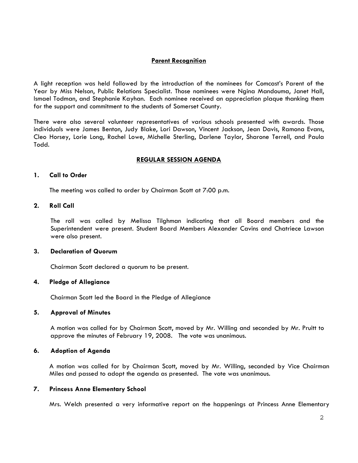# **Parent Recognition**

A light reception was held followed by the introduction of the nominees for Comcast's Parent of the Year by Miss Nelson, Public Relations Specialist. Those nominees were Ngina Mandouma, Janet Hall, Ismael Todman, and Stephanie Kayhan. Each nominee received an appreciation plaque thanking them for the support and commitment to the students of Somerset County.

There were also several volunteer representatives of various schools presented with awards. Those individuals were James Benton, Judy Blake, Lori Dawson, Vincent Jackson, Jean Davis, Ramona Evans, Cleo Horsey, Lorie Long, Rachel Lowe, Michelle Sterling, Darlene Taylor, Sharone Terrell, and Paula Todd.

### **REGULAR SESSION AGENDA**

### **1. Call to Order**

The meeting was called to order by Chairman Scott at 7:00 p.m.

### **2. Roll Call**

The roll was called by Melissa Tilghman indicating that all Board members and the Superintendent were present. Student Board Members Alexander Cavins and Chatriece Lawson were also present.

#### **3. Declaration of Quorum**

Chairman Scott declared a quorum to be present.

### **4. Pledge of Allegiance**

Chairman Scott led the Board in the Pledge of Allegiance

### **5. Approval of Minutes**

A motion was called for by Chairman Scott, moved by Mr. Willing and seconded by Mr. Pruitt to approve the minutes of February 19, 2008. The vote was unanimous.

### **6. Adoption of Agenda**

 A motion was called for by Chairman Scott, moved by Mr. Willing, seconded by Vice Chairman Miles and passed to adopt the agenda as presented. The vote was unanimous.

## **7. Princess Anne Elementary School**

Mrs. Welch presented a very informative report on the happenings at Princess Anne Elementary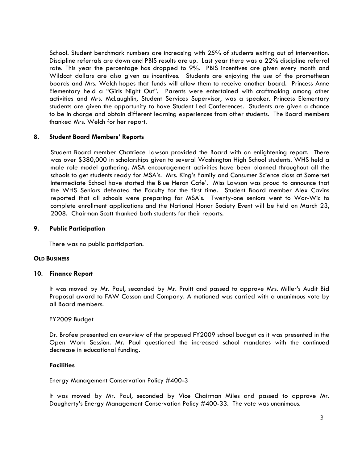School. Student benchmark numbers are increasing with 25% of students exiting out of intervention. Discipline referrals are down and PBIS results are up. Last year there was a 22% discipline referral rate. This year the percentage has dropped to 9%. PBIS incentives are given every month and Wildcat dollars are also given as incentives. Students are enjoying the use of the promethean boards and Mrs. Welch hopes that funds will allow them to receive another board. Princess Anne Elementary held a "Girls Night Out". Parents were entertained with craftmaking among other activities and Mrs. McLaughlin, Student Services Supervisor, was a speaker. Princess Elementary students are given the opportunity to have Student Led Conferences. Students are given a chance to be in charge and obtain different learning experiences from other students. The Board members thanked Mrs. Welch for her report.

# **8. Student Board Members' Reports**

 Student Board member Chatriece Lawson provided the Board with an enlightening report. There was over \$380,000 in scholarships given to several Washington High School students. WHS held a male role model gathering. MSA encouragement activities have been planned throughout all the schools to get students ready for MSA's. Mrs. King's Family and Consumer Science class at Somerset Intermediate School have started the Blue Heron Cafe'. Miss Lawson was proud to announce that the WHS Seniors defeated the Faculty for the first time. Student Board member Alex Cavins reported that all schools were preparing for MSA's. Twenty-one seniors went to Wor-Wic to complete enrollment applications and the National Honor Society Event will be held on March 23, 2008. Chairman Scott thanked both students for their reports.

### **9. Public Participation**

There was no public participation.

### **OLD BUSINESS**

## **10. Finance Report**

It was moved by Mr. Paul, seconded by Mr. Pruitt and passed to approve Mrs. Miller's Audit Bid Proposal award to FAW Casson and Company. A motioned was carried with a unanimous vote by all Board members.

### FY2009 Budget

Dr. Brofee presented an overview of the proposed FY2009 school budget as it was presented in the Open Work Session. Mr. Paul questioned the increased school mandates with the continued decrease in educational funding.

### **Facilities**

Energy Management Conservation Policy #400-3

It was moved by Mr. Paul, seconded by Vice Chairman Miles and passed to approve Mr. Daugherty's Energy Management Conservation Policy #400-33. The vote was unanimous.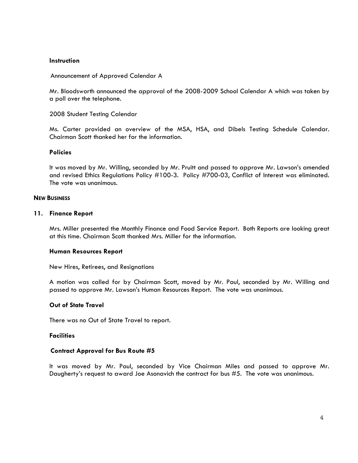#### **Instruction**

Announcement of Approved Calendar A

Mr. Bloodsworth announced the approval of the 2008-2009 School Calendar A which was taken by a poll over the telephone.

2008 Student Testing Calendar

Ms. Carter provided an overview of the MSA, HSA, and Dibels Testing Schedule Calendar. Chairman Scott thanked her for the information.

#### **Policies**

It was moved by Mr. Willing, seconded by Mr. Pruitt and passed to approve Mr. Lawson's amended and revised Ethics Regulations Policy #100-3. Policy #700-03, Conflict of Interest was eliminated. The vote was unanimous.

#### **NEW BUSINESS**

#### **11. Finance Report**

Mrs. Miller presented the Monthly Finance and Food Service Report. Both Reports are looking great at this time. Chairman Scott thanked Mrs. Miller for the information.

#### **Human Resources Report**

New Hires, Retirees, and Resignations

A motion was called for by Chairman Scott, moved by Mr. Paul, seconded by Mr. Willing and passed to approve Mr. Lawson's Human Resources Report. The vote was unanimous.

### **Out of State Travel**

There was no Out of State Travel to report.

#### **Facilities**

### **Contract Approval for Bus Route #5**

It was moved by Mr. Paul, seconded by Vice Chairman Miles and passed to approve Mr. Daugherty's request to award Joe Asonavich the contract for bus #5. The vote was unanimous.